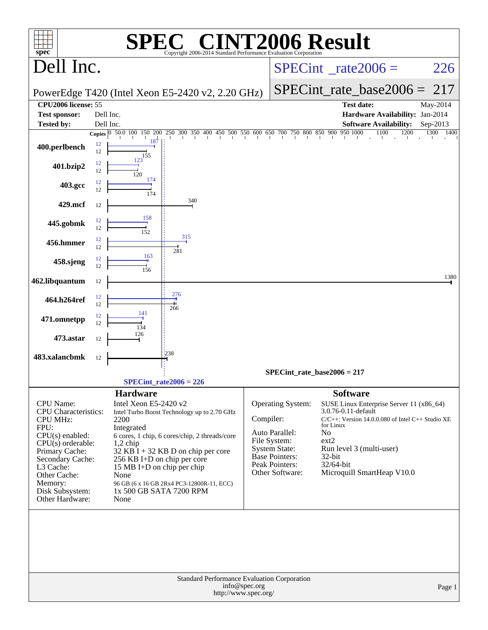|                                               |          |                                          | $\blacksquare$                                                                                                                                                            |               | <b>INT2006 Result</b>                         |                                        |                                                      |              |
|-----------------------------------------------|----------|------------------------------------------|---------------------------------------------------------------------------------------------------------------------------------------------------------------------------|---------------|-----------------------------------------------|----------------------------------------|------------------------------------------------------|--------------|
| $spec^*$<br>Dell Inc.                         |          |                                          | Copyright 2006-2014 Standard Performance Evaluation Corporation                                                                                                           |               |                                               |                                        | $SPECint^{\circ}$ rate $2006 =$                      | 226          |
|                                               |          |                                          |                                                                                                                                                                           |               |                                               |                                        |                                                      |              |
|                                               |          |                                          | PowerEdge T420 (Intel Xeon E5-2420 v2, 2.20 GHz)                                                                                                                          |               |                                               |                                        | $SPECint_rate\_base2006 =$                           | 217          |
| CPU2006 license: 55<br><b>Test sponsor:</b>   |          | Dell Inc.                                |                                                                                                                                                                           |               |                                               |                                        | <b>Test date:</b><br>Hardware Availability: Jan-2014 | May-2014     |
| <b>Tested by:</b>                             |          | Dell Inc.                                |                                                                                                                                                                           |               |                                               |                                        | <b>Software Availability:</b>                        | Sep-2013     |
|                                               |          |                                          | <b>Copies</b> $\begin{bmatrix} 0 & 50.0 & 100 & 150 & 200 & 250 & 300 & 350 & 400 & 450 & 500 & 550 & 600 & 650 & 700 & 750 & 800 & 850 & 900 & 950 & 1000 \end{bmatrix}$ |               |                                               |                                        | $\frac{1100}{1}$<br>1200                             | 1300<br>1400 |
| 400.perlbench                                 | 12<br>12 | 187<br>155                               |                                                                                                                                                                           |               |                                               |                                        |                                                      |              |
| 401.bzip2                                     | 12<br>12 | 123<br>120                               |                                                                                                                                                                           |               |                                               |                                        |                                                      |              |
| 403.gcc                                       | 12<br>12 | 174<br>174                               |                                                                                                                                                                           |               |                                               |                                        |                                                      |              |
| 429.mcf                                       | 12       |                                          | 340                                                                                                                                                                       |               |                                               |                                        |                                                      |              |
| 445.gobmk                                     | 12<br>12 | 158<br>152                               |                                                                                                                                                                           |               |                                               |                                        |                                                      |              |
| 456.hmmer                                     | 12<br>12 |                                          | 315                                                                                                                                                                       |               |                                               |                                        |                                                      |              |
| 458.sjeng                                     | 12<br>12 | 163<br>156                               | 281                                                                                                                                                                       |               |                                               |                                        |                                                      |              |
| 462.libquantum                                | 12       |                                          |                                                                                                                                                                           |               |                                               |                                        |                                                      | 1380         |
| 464.h264ref                                   | 12<br>12 |                                          | 276<br>266                                                                                                                                                                |               |                                               |                                        |                                                      |              |
| 471.omnetpp                                   | 12<br>12 | 141<br>134                               |                                                                                                                                                                           |               |                                               |                                        |                                                      |              |
| 473.astar                                     | 12       | 126                                      |                                                                                                                                                                           |               |                                               |                                        |                                                      |              |
| 483.xalancbmk                                 | 12       |                                          | 1238                                                                                                                                                                      |               |                                               |                                        |                                                      |              |
|                                               |          |                                          |                                                                                                                                                                           |               | $SPECint_rate_base2006 = 217$                 |                                        |                                                      |              |
|                                               |          |                                          | $SPECint_rate2006 = 226$                                                                                                                                                  |               |                                               |                                        |                                                      |              |
| CPU Name:<br><b>CPU</b> Characteristics:      |          | <b>Hardware</b><br>Intel Xeon E5-2420 v2 | Intel Turbo Boost Technology up to 2.70 GHz                                                                                                                               |               | <b>Operating System:</b>                      | <b>Software</b><br>3.0.76-0.11-default | SUSE Linux Enterprise Server 11 (x86_64)             |              |
| CPU MHz:                                      |          | 2200                                     |                                                                                                                                                                           | Compiler:     |                                               | for Linux                              | C/C++: Version 14.0.0.080 of Intel C++ Studio XE     |              |
| FPU:<br>$CPU(s)$ enabled:                     |          | Integrated                               | 6 cores, 1 chip, 6 cores/chip, 2 threads/core                                                                                                                             |               | Auto Parallel:                                | No                                     |                                                      |              |
| $CPU(s)$ orderable:                           |          | $1,2$ chip                               |                                                                                                                                                                           |               | File System:                                  | ext2                                   |                                                      |              |
| Primary Cache:<br>Secondary Cache:            |          | 256 KB I+D on chip per core              | $32$ KB I + 32 KB D on chip per core                                                                                                                                      |               | <b>System State:</b><br><b>Base Pointers:</b> | 32-bit                                 | Run level 3 (multi-user)                             |              |
| L3 Cache:                                     |          | 15 MB I+D on chip per chip               |                                                                                                                                                                           |               | Peak Pointers:                                | 32/64-bit                              |                                                      |              |
| Other Cache:                                  |          | None                                     |                                                                                                                                                                           |               | Other Software:                               |                                        | Microquill SmartHeap V10.0                           |              |
| Memory:<br>Disk Subsystem:<br>Other Hardware: |          | 1x 500 GB SATA 7200 RPM<br>None          | 96 GB (6 x 16 GB 2Rx4 PC3-12800R-11, ECC)                                                                                                                                 |               |                                               |                                        |                                                      |              |
|                                               |          |                                          |                                                                                                                                                                           |               |                                               |                                        |                                                      |              |
|                                               |          |                                          |                                                                                                                                                                           |               |                                               |                                        |                                                      |              |
|                                               |          |                                          |                                                                                                                                                                           |               |                                               |                                        |                                                      |              |
|                                               |          |                                          |                                                                                                                                                                           |               |                                               |                                        |                                                      |              |
|                                               |          |                                          | Standard Performance Evaluation Corporation                                                                                                                               |               |                                               |                                        |                                                      |              |
|                                               |          |                                          | http://www.spec.org/                                                                                                                                                      | info@spec.org |                                               |                                        |                                                      | Page 1       |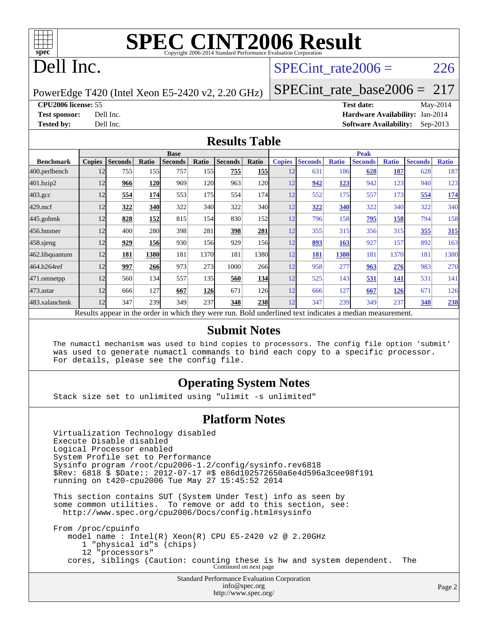

## Dell Inc.

### SPECint rate $2006 = 226$

PowerEdge T420 (Intel Xeon E5-2420 v2, 2.20 GHz)

[SPECint\\_rate\\_base2006 =](http://www.spec.org/auto/cpu2006/Docs/result-fields.html#SPECintratebase2006) 217

**[CPU2006 license:](http://www.spec.org/auto/cpu2006/Docs/result-fields.html#CPU2006license)** 55 **[Test date:](http://www.spec.org/auto/cpu2006/Docs/result-fields.html#Testdate)** May-2014

**[Test sponsor:](http://www.spec.org/auto/cpu2006/Docs/result-fields.html#Testsponsor)** Dell Inc. **[Hardware Availability:](http://www.spec.org/auto/cpu2006/Docs/result-fields.html#HardwareAvailability)** Jan-2014 **[Tested by:](http://www.spec.org/auto/cpu2006/Docs/result-fields.html#Testedby)** Dell Inc. **[Software Availability:](http://www.spec.org/auto/cpu2006/Docs/result-fields.html#SoftwareAvailability)** Sep-2013

#### **[Results Table](http://www.spec.org/auto/cpu2006/Docs/result-fields.html#ResultsTable)**

|                  |               |                |            | <b>Base</b>                                                                                              |            |                |            |               |                |              | <b>Peak</b>    |              |                |              |
|------------------|---------------|----------------|------------|----------------------------------------------------------------------------------------------------------|------------|----------------|------------|---------------|----------------|--------------|----------------|--------------|----------------|--------------|
| <b>Benchmark</b> | <b>Copies</b> | <b>Seconds</b> | Ratio      | <b>Seconds</b>                                                                                           | Ratio      | <b>Seconds</b> | Ratio      | <b>Copies</b> | <b>Seconds</b> | <b>Ratio</b> | <b>Seconds</b> | <b>Ratio</b> | <b>Seconds</b> | <b>Ratio</b> |
| 400.perlbench    | 12            | 755            | 155        | 757                                                                                                      | 155I       | 755            | 155        | 12            | 631            | 186          | 628            | 187          | 628            | 187          |
| 401.bzip2        | 12            | 966            | 120        | 969                                                                                                      | 120        | 963            | 120        | 12            | 942            | 123          | 942            | 123          | 940            | 123          |
| $403.\text{gcc}$ | 12            | 554            | 174        | 553                                                                                                      | 175I       | 554            | 174        | 12            | 552            | 175          | 557            | 173          | 554            | <u>174</u>   |
| $429$ .mcf       | 12            | 322            | 340        | 322                                                                                                      | 340        | 322            | 340        | 12            | 322            | 340          | 322            | 340          | 322            | 340          |
| $445$ .gobmk     | 12            | 828            | <u>152</u> | 815                                                                                                      | 154        | 830            | 152        | 12            | 796            | 158          | 795            | <u>158</u>   | 794            | 158          |
| 456.hmmer        | 12            | 400            | 280        | 398                                                                                                      | 281        | 398            | 281        | 12            | 355            | 315          | 356            | 315          | 355            | 315          |
| $458$ .sjeng     | 12            | 929            | <b>156</b> | 930                                                                                                      | <b>156</b> | 929            | 156        | 12            | 893            | 163          | 927            | 157          | 892            | 163          |
| 462.libquantum   | 12            | 181            | 1380       | 181                                                                                                      | 1370       | 181            | 1380l      | 12            | 181            | 1380         | 181            | 1370         | 181            | 1380         |
| 464.h264ref      | 12            | 997            | 266        | 973                                                                                                      | 273        | 1000           | 266        | 12            | 958            | 277          | 963            | 276          | 983            | 270          |
| 471.omnetpp      | 12            | 560            | 134        | 557                                                                                                      | 135I       | 560            | 134        | 12            | 525            | 143          | 531            | 141          | 531            | 141          |
| 473.astar        | 12            | 666            | 127        | 667                                                                                                      | <b>126</b> | 671            | 126        | 12            | 666            | 127          | 667            | 126          | 671            | 126          |
| 483.xalancbmk    | 12            | 347            | 239        | 349                                                                                                      | 237        | 348            | <b>238</b> | 12            | 347            | 239          | 349            | 237          | 348            | 238          |
|                  |               |                |            | Results appear in the order in which they were run. Bold underlined text indicates a median measurement. |            |                |            |               |                |              |                |              |                |              |

#### **[Submit Notes](http://www.spec.org/auto/cpu2006/Docs/result-fields.html#SubmitNotes)**

 The numactl mechanism was used to bind copies to processors. The config file option 'submit' was used to generate numactl commands to bind each copy to a specific processor. For details, please see the config file.

### **[Operating System Notes](http://www.spec.org/auto/cpu2006/Docs/result-fields.html#OperatingSystemNotes)**

Stack size set to unlimited using "ulimit -s unlimited"

#### **[Platform Notes](http://www.spec.org/auto/cpu2006/Docs/result-fields.html#PlatformNotes)**

Standard Performance Evaluation Corporation Virtualization Technology disabled Execute Disable disabled Logical Processor enabled System Profile set to Performance Sysinfo program /root/cpu2006-1.2/config/sysinfo.rev6818 \$Rev: 6818 \$ \$Date:: 2012-07-17 #\$ e86d102572650a6e4d596a3cee98f191 running on t420-cpu2006 Tue May 27 15:45:52 2014 This section contains SUT (System Under Test) info as seen by some common utilities. To remove or add to this section, see: <http://www.spec.org/cpu2006/Docs/config.html#sysinfo> From /proc/cpuinfo model name : Intel(R) Xeon(R) CPU E5-2420 v2 @ 2.20GHz 1 "physical id"s (chips) 12 "processors" cores, siblings (Caution: counting these is hw and system dependent. The Continued on next page

> [info@spec.org](mailto:info@spec.org) <http://www.spec.org/>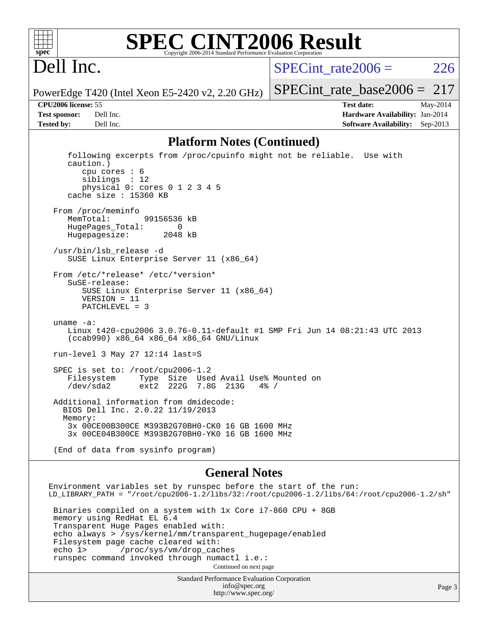

#### **[SPEC CINT2006 Result](http://www.spec.org/auto/cpu2006/Docs/result-fields.html#SPECCINT2006Result)** Copyright 2006-2014 Standard Performance Evaluation C

## Dell Inc.

SPECint rate $2006 = 226$ 

PowerEdge T420 (Intel Xeon E5-2420 v2, 2.20 GHz)

**[Tested by:](http://www.spec.org/auto/cpu2006/Docs/result-fields.html#Testedby)** Dell Inc. **[Software Availability:](http://www.spec.org/auto/cpu2006/Docs/result-fields.html#SoftwareAvailability)** Sep-2013

[SPECint\\_rate\\_base2006 =](http://www.spec.org/auto/cpu2006/Docs/result-fields.html#SPECintratebase2006) 217 **[CPU2006 license:](http://www.spec.org/auto/cpu2006/Docs/result-fields.html#CPU2006license)** 55 **[Test date:](http://www.spec.org/auto/cpu2006/Docs/result-fields.html#Testdate)** May-2014 **[Test sponsor:](http://www.spec.org/auto/cpu2006/Docs/result-fields.html#Testsponsor)** Dell Inc. **[Hardware Availability:](http://www.spec.org/auto/cpu2006/Docs/result-fields.html#HardwareAvailability)** Jan-2014

#### **[Platform Notes \(Continued\)](http://www.spec.org/auto/cpu2006/Docs/result-fields.html#PlatformNotes)**

 following excerpts from /proc/cpuinfo might not be reliable. Use with caution.) cpu cores : 6 siblings : 12 physical 0: cores 0 1 2 3 4 5 cache size : 15360 KB From /proc/meminfo MemTotal: 99156536 kB HugePages\_Total: 0<br>Hugepagesize: 2048 kB Hugepagesize: /usr/bin/lsb\_release -d SUSE Linux Enterprise Server 11 (x86\_64) From /etc/\*release\* /etc/\*version\* SuSE-release: SUSE Linux Enterprise Server 11 (x86\_64) VERSION = 11 PATCHLEVEL = 3 uname -a: Linux t420-cpu2006 3.0.76-0.11-default #1 SMP Fri Jun 14 08:21:43 UTC 2013 (ccab990) x86\_64 x86\_64 x86\_64 GNU/Linux run-level 3 May 27 12:14 last=S SPEC is set to: /root/cpu2006-1.2<br>Filesystem Type Size Use Filesystem Type Size Used Avail Use% Mounted on /dev/sda2 ext2 222G 7.8G 213G 4% / Additional information from dmidecode: BIOS Dell Inc. 2.0.22 11/19/2013 Memory: 3x 00CE00B300CE M393B2G70BH0-CK0 16 GB 1600 MHz 3x 00CE04B300CE M393B2G70BH0-YK0 16 GB 1600 MHz (End of data from sysinfo program)

#### **[General Notes](http://www.spec.org/auto/cpu2006/Docs/result-fields.html#GeneralNotes)**

Environment variables set by runspec before the start of the run: LD\_LIBRARY\_PATH = "/root/cpu2006-1.2/libs/32:/root/cpu2006-1.2/libs/64:/root/cpu2006-1.2/sh" Binaries compiled on a system with 1x Core i7-860 CPU + 8GB memory using RedHat EL 6.4 Transparent Huge Pages enabled with: echo always > /sys/kernel/mm/transparent\_hugepage/enabled Filesystem page cache cleared with:<br>echo 1> /proc/sys/vm/drop cac /proc/sys/vm/drop\_caches runspec command invoked through numactl i.e.:

> Standard Performance Evaluation Corporation [info@spec.org](mailto:info@spec.org) Continued on next page

```
http://www.spec.org/
```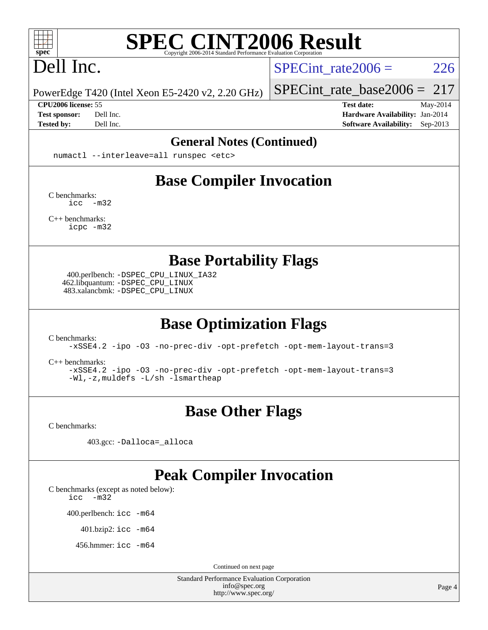

## Dell Inc.

SPECint rate $2006 = 226$ 

PowerEdge T420 (Intel Xeon E5-2420 v2, 2.20 GHz)

#### **[CPU2006 license:](http://www.spec.org/auto/cpu2006/Docs/result-fields.html#CPU2006license)** 55 **[Test date:](http://www.spec.org/auto/cpu2006/Docs/result-fields.html#Testdate)** May-2014

[SPECint\\_rate\\_base2006 =](http://www.spec.org/auto/cpu2006/Docs/result-fields.html#SPECintratebase2006) 217

**[Test sponsor:](http://www.spec.org/auto/cpu2006/Docs/result-fields.html#Testsponsor)** Dell Inc. **[Hardware Availability:](http://www.spec.org/auto/cpu2006/Docs/result-fields.html#HardwareAvailability)** Jan-2014 **[Tested by:](http://www.spec.org/auto/cpu2006/Docs/result-fields.html#Testedby)** Dell Inc. **[Software Availability:](http://www.spec.org/auto/cpu2006/Docs/result-fields.html#SoftwareAvailability)** Sep-2013

#### **[General Notes \(Continued\)](http://www.spec.org/auto/cpu2006/Docs/result-fields.html#GeneralNotes)**

numactl --interleave=all runspec <etc>

## **[Base Compiler Invocation](http://www.spec.org/auto/cpu2006/Docs/result-fields.html#BaseCompilerInvocation)**

[C benchmarks](http://www.spec.org/auto/cpu2006/Docs/result-fields.html#Cbenchmarks): [icc -m32](http://www.spec.org/cpu2006/results/res2014q3/cpu2006-20140616-29919.flags.html#user_CCbase_intel_icc_5ff4a39e364c98233615fdd38438c6f2)

[C++ benchmarks:](http://www.spec.org/auto/cpu2006/Docs/result-fields.html#CXXbenchmarks) [icpc -m32](http://www.spec.org/cpu2006/results/res2014q3/cpu2006-20140616-29919.flags.html#user_CXXbase_intel_icpc_4e5a5ef1a53fd332b3c49e69c3330699)

**[Base Portability Flags](http://www.spec.org/auto/cpu2006/Docs/result-fields.html#BasePortabilityFlags)**

 400.perlbench: [-DSPEC\\_CPU\\_LINUX\\_IA32](http://www.spec.org/cpu2006/results/res2014q3/cpu2006-20140616-29919.flags.html#b400.perlbench_baseCPORTABILITY_DSPEC_CPU_LINUX_IA32) 462.libquantum: [-DSPEC\\_CPU\\_LINUX](http://www.spec.org/cpu2006/results/res2014q3/cpu2006-20140616-29919.flags.html#b462.libquantum_baseCPORTABILITY_DSPEC_CPU_LINUX) 483.xalancbmk: [-DSPEC\\_CPU\\_LINUX](http://www.spec.org/cpu2006/results/res2014q3/cpu2006-20140616-29919.flags.html#b483.xalancbmk_baseCXXPORTABILITY_DSPEC_CPU_LINUX)

## **[Base Optimization Flags](http://www.spec.org/auto/cpu2006/Docs/result-fields.html#BaseOptimizationFlags)**

[C benchmarks](http://www.spec.org/auto/cpu2006/Docs/result-fields.html#Cbenchmarks):

[-xSSE4.2](http://www.spec.org/cpu2006/results/res2014q3/cpu2006-20140616-29919.flags.html#user_CCbase_f-xSSE42_f91528193cf0b216347adb8b939d4107) [-ipo](http://www.spec.org/cpu2006/results/res2014q3/cpu2006-20140616-29919.flags.html#user_CCbase_f-ipo) [-O3](http://www.spec.org/cpu2006/results/res2014q3/cpu2006-20140616-29919.flags.html#user_CCbase_f-O3) [-no-prec-div](http://www.spec.org/cpu2006/results/res2014q3/cpu2006-20140616-29919.flags.html#user_CCbase_f-no-prec-div) [-opt-prefetch](http://www.spec.org/cpu2006/results/res2014q3/cpu2006-20140616-29919.flags.html#user_CCbase_f-opt-prefetch) [-opt-mem-layout-trans=3](http://www.spec.org/cpu2006/results/res2014q3/cpu2006-20140616-29919.flags.html#user_CCbase_f-opt-mem-layout-trans_a7b82ad4bd7abf52556d4961a2ae94d5)

[C++ benchmarks:](http://www.spec.org/auto/cpu2006/Docs/result-fields.html#CXXbenchmarks)

[-xSSE4.2](http://www.spec.org/cpu2006/results/res2014q3/cpu2006-20140616-29919.flags.html#user_CXXbase_f-xSSE42_f91528193cf0b216347adb8b939d4107) [-ipo](http://www.spec.org/cpu2006/results/res2014q3/cpu2006-20140616-29919.flags.html#user_CXXbase_f-ipo) [-O3](http://www.spec.org/cpu2006/results/res2014q3/cpu2006-20140616-29919.flags.html#user_CXXbase_f-O3) [-no-prec-div](http://www.spec.org/cpu2006/results/res2014q3/cpu2006-20140616-29919.flags.html#user_CXXbase_f-no-prec-div) [-opt-prefetch](http://www.spec.org/cpu2006/results/res2014q3/cpu2006-20140616-29919.flags.html#user_CXXbase_f-opt-prefetch) [-opt-mem-layout-trans=3](http://www.spec.org/cpu2006/results/res2014q3/cpu2006-20140616-29919.flags.html#user_CXXbase_f-opt-mem-layout-trans_a7b82ad4bd7abf52556d4961a2ae94d5) [-Wl,-z,muldefs](http://www.spec.org/cpu2006/results/res2014q3/cpu2006-20140616-29919.flags.html#user_CXXbase_link_force_multiple1_74079c344b956b9658436fd1b6dd3a8a) [-L/sh -lsmartheap](http://www.spec.org/cpu2006/results/res2014q3/cpu2006-20140616-29919.flags.html#user_CXXbase_SmartHeap_32f6c82aa1ed9c52345d30cf6e4a0499)

## **[Base Other Flags](http://www.spec.org/auto/cpu2006/Docs/result-fields.html#BaseOtherFlags)**

[C benchmarks](http://www.spec.org/auto/cpu2006/Docs/result-fields.html#Cbenchmarks):

403.gcc: [-Dalloca=\\_alloca](http://www.spec.org/cpu2006/results/res2014q3/cpu2006-20140616-29919.flags.html#b403.gcc_baseEXTRA_CFLAGS_Dalloca_be3056838c12de2578596ca5467af7f3)

### **[Peak Compiler Invocation](http://www.spec.org/auto/cpu2006/Docs/result-fields.html#PeakCompilerInvocation)**

[C benchmarks \(except as noted below\)](http://www.spec.org/auto/cpu2006/Docs/result-fields.html#Cbenchmarksexceptasnotedbelow):

[icc -m32](http://www.spec.org/cpu2006/results/res2014q3/cpu2006-20140616-29919.flags.html#user_CCpeak_intel_icc_5ff4a39e364c98233615fdd38438c6f2)

400.perlbench: [icc -m64](http://www.spec.org/cpu2006/results/res2014q3/cpu2006-20140616-29919.flags.html#user_peakCCLD400_perlbench_intel_icc_64bit_bda6cc9af1fdbb0edc3795bac97ada53)

401.bzip2: [icc -m64](http://www.spec.org/cpu2006/results/res2014q3/cpu2006-20140616-29919.flags.html#user_peakCCLD401_bzip2_intel_icc_64bit_bda6cc9af1fdbb0edc3795bac97ada53)

456.hmmer: [icc -m64](http://www.spec.org/cpu2006/results/res2014q3/cpu2006-20140616-29919.flags.html#user_peakCCLD456_hmmer_intel_icc_64bit_bda6cc9af1fdbb0edc3795bac97ada53)

Continued on next page

Standard Performance Evaluation Corporation [info@spec.org](mailto:info@spec.org) <http://www.spec.org/>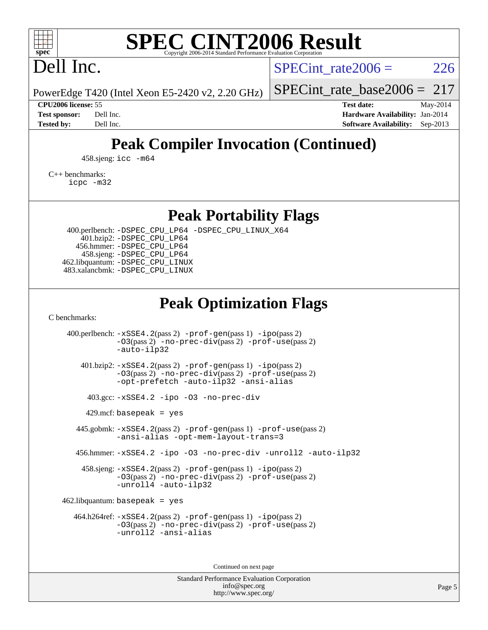

## Dell Inc.

SPECint rate $2006 = 226$ 

PowerEdge T420 (Intel Xeon E5-2420 v2, 2.20 GHz)

**[Tested by:](http://www.spec.org/auto/cpu2006/Docs/result-fields.html#Testedby)** Dell Inc. **[Software Availability:](http://www.spec.org/auto/cpu2006/Docs/result-fields.html#SoftwareAvailability)** Sep-2013

[SPECint\\_rate\\_base2006 =](http://www.spec.org/auto/cpu2006/Docs/result-fields.html#SPECintratebase2006) 217 **[CPU2006 license:](http://www.spec.org/auto/cpu2006/Docs/result-fields.html#CPU2006license)** 55 **[Test date:](http://www.spec.org/auto/cpu2006/Docs/result-fields.html#Testdate)** May-2014 **[Test sponsor:](http://www.spec.org/auto/cpu2006/Docs/result-fields.html#Testsponsor)** Dell Inc. **[Hardware Availability:](http://www.spec.org/auto/cpu2006/Docs/result-fields.html#HardwareAvailability)** Jan-2014

## **[Peak Compiler Invocation \(Continued\)](http://www.spec.org/auto/cpu2006/Docs/result-fields.html#PeakCompilerInvocation)**

458.sjeng: [icc -m64](http://www.spec.org/cpu2006/results/res2014q3/cpu2006-20140616-29919.flags.html#user_peakCCLD458_sjeng_intel_icc_64bit_bda6cc9af1fdbb0edc3795bac97ada53)

[C++ benchmarks:](http://www.spec.org/auto/cpu2006/Docs/result-fields.html#CXXbenchmarks)

[icpc -m32](http://www.spec.org/cpu2006/results/res2014q3/cpu2006-20140616-29919.flags.html#user_CXXpeak_intel_icpc_4e5a5ef1a53fd332b3c49e69c3330699)

**[Peak Portability Flags](http://www.spec.org/auto/cpu2006/Docs/result-fields.html#PeakPortabilityFlags)**

 400.perlbench: [-DSPEC\\_CPU\\_LP64](http://www.spec.org/cpu2006/results/res2014q3/cpu2006-20140616-29919.flags.html#b400.perlbench_peakCPORTABILITY_DSPEC_CPU_LP64) [-DSPEC\\_CPU\\_LINUX\\_X64](http://www.spec.org/cpu2006/results/res2014q3/cpu2006-20140616-29919.flags.html#b400.perlbench_peakCPORTABILITY_DSPEC_CPU_LINUX_X64) 401.bzip2: [-DSPEC\\_CPU\\_LP64](http://www.spec.org/cpu2006/results/res2014q3/cpu2006-20140616-29919.flags.html#suite_peakCPORTABILITY401_bzip2_DSPEC_CPU_LP64) 456.hmmer: [-DSPEC\\_CPU\\_LP64](http://www.spec.org/cpu2006/results/res2014q3/cpu2006-20140616-29919.flags.html#suite_peakCPORTABILITY456_hmmer_DSPEC_CPU_LP64) 458.sjeng: [-DSPEC\\_CPU\\_LP64](http://www.spec.org/cpu2006/results/res2014q3/cpu2006-20140616-29919.flags.html#suite_peakCPORTABILITY458_sjeng_DSPEC_CPU_LP64) 462.libquantum: [-DSPEC\\_CPU\\_LINUX](http://www.spec.org/cpu2006/results/res2014q3/cpu2006-20140616-29919.flags.html#b462.libquantum_peakCPORTABILITY_DSPEC_CPU_LINUX) 483.xalancbmk: [-DSPEC\\_CPU\\_LINUX](http://www.spec.org/cpu2006/results/res2014q3/cpu2006-20140616-29919.flags.html#b483.xalancbmk_peakCXXPORTABILITY_DSPEC_CPU_LINUX)

## **[Peak Optimization Flags](http://www.spec.org/auto/cpu2006/Docs/result-fields.html#PeakOptimizationFlags)**

[C benchmarks](http://www.spec.org/auto/cpu2006/Docs/result-fields.html#Cbenchmarks):

 400.perlbench: [-xSSE4.2](http://www.spec.org/cpu2006/results/res2014q3/cpu2006-20140616-29919.flags.html#user_peakPASS2_CFLAGSPASS2_LDCFLAGS400_perlbench_f-xSSE42_f91528193cf0b216347adb8b939d4107)(pass 2) [-prof-gen](http://www.spec.org/cpu2006/results/res2014q3/cpu2006-20140616-29919.flags.html#user_peakPASS1_CFLAGSPASS1_LDCFLAGS400_perlbench_prof_gen_e43856698f6ca7b7e442dfd80e94a8fc)(pass 1) [-ipo](http://www.spec.org/cpu2006/results/res2014q3/cpu2006-20140616-29919.flags.html#user_peakPASS2_CFLAGSPASS2_LDCFLAGS400_perlbench_f-ipo)(pass 2) [-O3](http://www.spec.org/cpu2006/results/res2014q3/cpu2006-20140616-29919.flags.html#user_peakPASS2_CFLAGSPASS2_LDCFLAGS400_perlbench_f-O3)(pass 2) [-no-prec-div](http://www.spec.org/cpu2006/results/res2014q3/cpu2006-20140616-29919.flags.html#user_peakPASS2_CFLAGSPASS2_LDCFLAGS400_perlbench_f-no-prec-div)(pass 2) [-prof-use](http://www.spec.org/cpu2006/results/res2014q3/cpu2006-20140616-29919.flags.html#user_peakPASS2_CFLAGSPASS2_LDCFLAGS400_perlbench_prof_use_bccf7792157ff70d64e32fe3e1250b55)(pass 2) [-auto-ilp32](http://www.spec.org/cpu2006/results/res2014q3/cpu2006-20140616-29919.flags.html#user_peakCOPTIMIZE400_perlbench_f-auto-ilp32) 401.bzip2: [-xSSE4.2](http://www.spec.org/cpu2006/results/res2014q3/cpu2006-20140616-29919.flags.html#user_peakPASS2_CFLAGSPASS2_LDCFLAGS401_bzip2_f-xSSE42_f91528193cf0b216347adb8b939d4107)(pass 2) [-prof-gen](http://www.spec.org/cpu2006/results/res2014q3/cpu2006-20140616-29919.flags.html#user_peakPASS1_CFLAGSPASS1_LDCFLAGS401_bzip2_prof_gen_e43856698f6ca7b7e442dfd80e94a8fc)(pass 1) [-ipo](http://www.spec.org/cpu2006/results/res2014q3/cpu2006-20140616-29919.flags.html#user_peakPASS2_CFLAGSPASS2_LDCFLAGS401_bzip2_f-ipo)(pass 2) [-O3](http://www.spec.org/cpu2006/results/res2014q3/cpu2006-20140616-29919.flags.html#user_peakPASS2_CFLAGSPASS2_LDCFLAGS401_bzip2_f-O3)(pass 2) [-no-prec-div](http://www.spec.org/cpu2006/results/res2014q3/cpu2006-20140616-29919.flags.html#user_peakPASS2_CFLAGSPASS2_LDCFLAGS401_bzip2_f-no-prec-div)(pass 2) [-prof-use](http://www.spec.org/cpu2006/results/res2014q3/cpu2006-20140616-29919.flags.html#user_peakPASS2_CFLAGSPASS2_LDCFLAGS401_bzip2_prof_use_bccf7792157ff70d64e32fe3e1250b55)(pass 2) [-opt-prefetch](http://www.spec.org/cpu2006/results/res2014q3/cpu2006-20140616-29919.flags.html#user_peakCOPTIMIZE401_bzip2_f-opt-prefetch) [-auto-ilp32](http://www.spec.org/cpu2006/results/res2014q3/cpu2006-20140616-29919.flags.html#user_peakCOPTIMIZE401_bzip2_f-auto-ilp32) [-ansi-alias](http://www.spec.org/cpu2006/results/res2014q3/cpu2006-20140616-29919.flags.html#user_peakCOPTIMIZE401_bzip2_f-ansi-alias) 403.gcc: [-xSSE4.2](http://www.spec.org/cpu2006/results/res2014q3/cpu2006-20140616-29919.flags.html#user_peakCOPTIMIZE403_gcc_f-xSSE42_f91528193cf0b216347adb8b939d4107) [-ipo](http://www.spec.org/cpu2006/results/res2014q3/cpu2006-20140616-29919.flags.html#user_peakCOPTIMIZE403_gcc_f-ipo) [-O3](http://www.spec.org/cpu2006/results/res2014q3/cpu2006-20140616-29919.flags.html#user_peakCOPTIMIZE403_gcc_f-O3) [-no-prec-div](http://www.spec.org/cpu2006/results/res2014q3/cpu2006-20140616-29919.flags.html#user_peakCOPTIMIZE403_gcc_f-no-prec-div)  $429$ .mcf: basepeak = yes 445.gobmk: [-xSSE4.2](http://www.spec.org/cpu2006/results/res2014q3/cpu2006-20140616-29919.flags.html#user_peakPASS2_CFLAGSPASS2_LDCFLAGS445_gobmk_f-xSSE42_f91528193cf0b216347adb8b939d4107)(pass 2) [-prof-gen](http://www.spec.org/cpu2006/results/res2014q3/cpu2006-20140616-29919.flags.html#user_peakPASS1_CFLAGSPASS1_LDCFLAGS445_gobmk_prof_gen_e43856698f6ca7b7e442dfd80e94a8fc)(pass 1) [-prof-use](http://www.spec.org/cpu2006/results/res2014q3/cpu2006-20140616-29919.flags.html#user_peakPASS2_CFLAGSPASS2_LDCFLAGS445_gobmk_prof_use_bccf7792157ff70d64e32fe3e1250b55)(pass 2) [-ansi-alias](http://www.spec.org/cpu2006/results/res2014q3/cpu2006-20140616-29919.flags.html#user_peakCOPTIMIZE445_gobmk_f-ansi-alias) [-opt-mem-layout-trans=3](http://www.spec.org/cpu2006/results/res2014q3/cpu2006-20140616-29919.flags.html#user_peakCOPTIMIZE445_gobmk_f-opt-mem-layout-trans_a7b82ad4bd7abf52556d4961a2ae94d5) 456.hmmer: [-xSSE4.2](http://www.spec.org/cpu2006/results/res2014q3/cpu2006-20140616-29919.flags.html#user_peakCOPTIMIZE456_hmmer_f-xSSE42_f91528193cf0b216347adb8b939d4107) [-ipo](http://www.spec.org/cpu2006/results/res2014q3/cpu2006-20140616-29919.flags.html#user_peakCOPTIMIZE456_hmmer_f-ipo) [-O3](http://www.spec.org/cpu2006/results/res2014q3/cpu2006-20140616-29919.flags.html#user_peakCOPTIMIZE456_hmmer_f-O3) [-no-prec-div](http://www.spec.org/cpu2006/results/res2014q3/cpu2006-20140616-29919.flags.html#user_peakCOPTIMIZE456_hmmer_f-no-prec-div) [-unroll2](http://www.spec.org/cpu2006/results/res2014q3/cpu2006-20140616-29919.flags.html#user_peakCOPTIMIZE456_hmmer_f-unroll_784dae83bebfb236979b41d2422d7ec2) [-auto-ilp32](http://www.spec.org/cpu2006/results/res2014q3/cpu2006-20140616-29919.flags.html#user_peakCOPTIMIZE456_hmmer_f-auto-ilp32) 458.sjeng: [-xSSE4.2](http://www.spec.org/cpu2006/results/res2014q3/cpu2006-20140616-29919.flags.html#user_peakPASS2_CFLAGSPASS2_LDCFLAGS458_sjeng_f-xSSE42_f91528193cf0b216347adb8b939d4107)(pass 2) [-prof-gen](http://www.spec.org/cpu2006/results/res2014q3/cpu2006-20140616-29919.flags.html#user_peakPASS1_CFLAGSPASS1_LDCFLAGS458_sjeng_prof_gen_e43856698f6ca7b7e442dfd80e94a8fc)(pass 1) [-ipo](http://www.spec.org/cpu2006/results/res2014q3/cpu2006-20140616-29919.flags.html#user_peakPASS2_CFLAGSPASS2_LDCFLAGS458_sjeng_f-ipo)(pass 2) [-O3](http://www.spec.org/cpu2006/results/res2014q3/cpu2006-20140616-29919.flags.html#user_peakPASS2_CFLAGSPASS2_LDCFLAGS458_sjeng_f-O3)(pass 2) [-no-prec-div](http://www.spec.org/cpu2006/results/res2014q3/cpu2006-20140616-29919.flags.html#user_peakPASS2_CFLAGSPASS2_LDCFLAGS458_sjeng_f-no-prec-div)(pass 2) [-prof-use](http://www.spec.org/cpu2006/results/res2014q3/cpu2006-20140616-29919.flags.html#user_peakPASS2_CFLAGSPASS2_LDCFLAGS458_sjeng_prof_use_bccf7792157ff70d64e32fe3e1250b55)(pass 2) [-unroll4](http://www.spec.org/cpu2006/results/res2014q3/cpu2006-20140616-29919.flags.html#user_peakCOPTIMIZE458_sjeng_f-unroll_4e5e4ed65b7fd20bdcd365bec371b81f) [-auto-ilp32](http://www.spec.org/cpu2006/results/res2014q3/cpu2006-20140616-29919.flags.html#user_peakCOPTIMIZE458_sjeng_f-auto-ilp32)  $462$ .libquantum: basepeak = yes 464.h264ref: [-xSSE4.2](http://www.spec.org/cpu2006/results/res2014q3/cpu2006-20140616-29919.flags.html#user_peakPASS2_CFLAGSPASS2_LDCFLAGS464_h264ref_f-xSSE42_f91528193cf0b216347adb8b939d4107)(pass 2) [-prof-gen](http://www.spec.org/cpu2006/results/res2014q3/cpu2006-20140616-29919.flags.html#user_peakPASS1_CFLAGSPASS1_LDCFLAGS464_h264ref_prof_gen_e43856698f6ca7b7e442dfd80e94a8fc)(pass 1) [-ipo](http://www.spec.org/cpu2006/results/res2014q3/cpu2006-20140616-29919.flags.html#user_peakPASS2_CFLAGSPASS2_LDCFLAGS464_h264ref_f-ipo)(pass 2) [-O3](http://www.spec.org/cpu2006/results/res2014q3/cpu2006-20140616-29919.flags.html#user_peakPASS2_CFLAGSPASS2_LDCFLAGS464_h264ref_f-O3)(pass 2) [-no-prec-div](http://www.spec.org/cpu2006/results/res2014q3/cpu2006-20140616-29919.flags.html#user_peakPASS2_CFLAGSPASS2_LDCFLAGS464_h264ref_f-no-prec-div)(pass 2) [-prof-use](http://www.spec.org/cpu2006/results/res2014q3/cpu2006-20140616-29919.flags.html#user_peakPASS2_CFLAGSPASS2_LDCFLAGS464_h264ref_prof_use_bccf7792157ff70d64e32fe3e1250b55)(pass 2) [-unroll2](http://www.spec.org/cpu2006/results/res2014q3/cpu2006-20140616-29919.flags.html#user_peakCOPTIMIZE464_h264ref_f-unroll_784dae83bebfb236979b41d2422d7ec2) [-ansi-alias](http://www.spec.org/cpu2006/results/res2014q3/cpu2006-20140616-29919.flags.html#user_peakCOPTIMIZE464_h264ref_f-ansi-alias)

Continued on next page

Standard Performance Evaluation Corporation [info@spec.org](mailto:info@spec.org) <http://www.spec.org/>